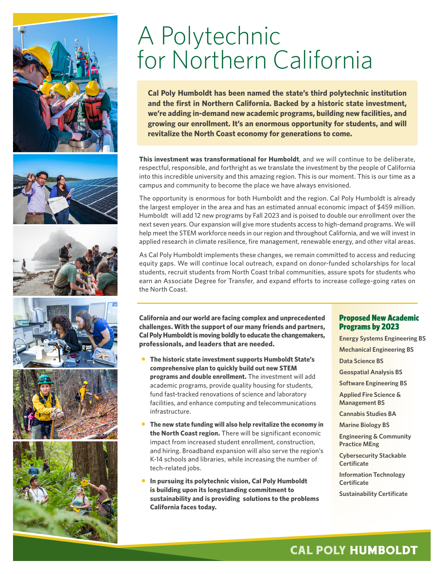











## A Polytechnic for Northern California

Cal Poly Humboldt has been named the state's third polytechnic institution and the first in Northern California. Backed by a historic state investment, **in Northern California. We're adding in-demand new academic programs, building we're adding in-demand new academic programs, building new facilities, and**  growing our enrollment. It's an enormous opportunity for students, and will **and could revitalize the North Coast economy for generations to come. revitalize the North Coast economy for generations to come.**

**This investment was transformational for Humboldt**, and we will continue to be deliberate, respectful, responsible, and forthright as we translate the investment by the people of California into this incredible university and this amazing region. This is our moment. This is our time as a campus and community to become the place we have always envisioned. **This investment was transformational for Humboldt**, and we will continue to be deliberate,

The opportunity is enormous for both Humboldt and the region. Cal Poly Humboldt is already  $\frac{1}{100}$ employer in the area and has an estimated annual economic impact of \$459 million. the largest employer in the area and has an estimated annual economic impact of \$459 million. next seven years. Our expansion will give more students access to high-demand programs. We will help meet the STEM workforce needs in our region and throughout California, and we will invest in applied research in climate resilience, fire management, renewable energy, and other vital areas. Humboldt will add 12 new programs by Fall 2023 and is poised to double our enrollment over the

As Cal Poly Humboldt implements these changes, we remain committed to access and reducing equity gaps. We will continue local outreach, expand on donor-funded scholarships for local students, recruit students from North Coast tribal communities, assure spots for students who earn an Associate Degree for Transfer, and expand efforts to increase college-going rates on the North Coast. The Transfer on the North Coast.

**California and our world are facing complex and unprecedented dented challenges. With the support of our many friends and challenges. With the support of our many friends and partners, Cal Poly Humboldt is moving boldly to educate the changemakers, changemakers, professionals, and leaders that are needed. professionals, and leaders that are needed.**

- **• The historic state investment will support Humboldt comprehensive plan to quickly build out new STEM SUPPREMENTS PRAN TO QUICKLY BUILD ON THE OUTSERVIEWS STEM programs and double enrollment.** The investment academic programs, provide quality housing for students, fund fast-tracked renovations of science and laboratory tacilities, and enhance computing and telecommunical facilities, and enhance computing and telecommunications<br>infractructure **• The historic state investment supports Humboldt State's**  infrastructure.
- **• The new state funding will also help revitalize the the North Coast region.** There will be significant economic **expansion Coast region.** There will be digitally determined the impact from increased student enrollment, construction, and hiring. Broadband expansion will also serve the region's K-14 schools and libraries, while increasing the number of tech-related jobs. while increasing the number of tech-related jobs. **• The new state funding will also help revitalize the economy in**
- **• In pursuing its polytechnic vision, Humboldt State is building upon its longstanding commitment to will build upon its longstanding commitment to sustainability and is providing solutions to the problems sustainability and provide solutions to the problems California faces today. California faces today. • In pursuing its polytechnic vision, Cal Poly Humboldt**

#### Proposed New Academic Programs by 2023

**Energy Systems Engineering BS**

**Mechanical Engineering BS**

**Data Science BS**

**Geospatial Analysis BS**

**Software Engineering BS**

**Applied Fire Science & Management BS**

**Cannabis Studies BA**

**Marine Biology BS**

**Engineering & Community Practice MEng**

**Cybersecurity Stackable Certificate**

**Information Technology Certificate**

**Sustainability Certificate**